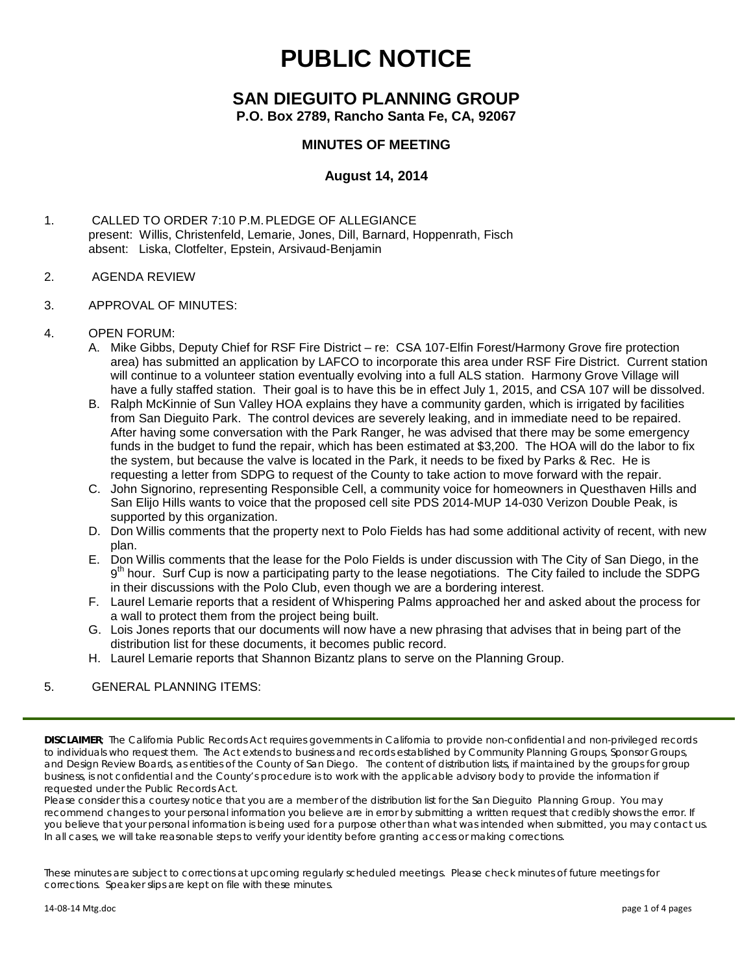# **PUBLIC NOTICE**

## **SAN DIEGUITO PLANNING GROUP P.O. Box 2789, Rancho Santa Fe, CA, 92067**

## **MINUTES OF MEETING**

## **August 14, 2014**

1. CALLED TO ORDER 7:10 P.M.PLEDGE OF ALLEGIANCE present: Willis, Christenfeld, Lemarie, Jones, Dill, Barnard, Hoppenrath, Fisch absent: Liska, Clotfelter, Epstein, Arsivaud-Benjamin

#### 2. AGENDA REVIEW

- 3. APPROVAL OF MINUTES:
- 4. OPEN FORUM:
	- A. Mike Gibbs, Deputy Chief for RSF Fire District re: CSA 107-Elfin Forest/Harmony Grove fire protection area) has submitted an application by LAFCO to incorporate this area under RSF Fire District. Current station will continue to a volunteer station eventually evolving into a full ALS station. Harmony Grove Village will have a fully staffed station. Their goal is to have this be in effect July 1, 2015, and CSA 107 will be dissolved.
	- B. Ralph McKinnie of Sun Valley HOA explains they have a community garden, which is irrigated by facilities from San Dieguito Park. The control devices are severely leaking, and in immediate need to be repaired. After having some conversation with the Park Ranger, he was advised that there may be some emergency funds in the budget to fund the repair, which has been estimated at \$3,200. The HOA will do the labor to fix the system, but because the valve is located in the Park, it needs to be fixed by Parks & Rec. He is requesting a letter from SDPG to request of the County to take action to move forward with the repair.
	- C. John Signorino, representing Responsible Cell, a community voice for homeowners in Questhaven Hills and San Elijo Hills wants to voice that the proposed cell site PDS 2014-MUP 14-030 Verizon Double Peak, is supported by this organization.
	- D. Don Willis comments that the property next to Polo Fields has had some additional activity of recent, with new plan.
	- E. Don Willis comments that the lease for the Polo Fields is under discussion with The City of San Diego, in the 9<sup>th</sup> hour. Surf Cup is now a participating party to the lease negotiations. The City failed to include the SDPG in their discussions with the Polo Club, even though we are a bordering interest.
	- F. Laurel Lemarie reports that a resident of Whispering Palms approached her and asked about the process for a wall to protect them from the project being built.
	- G. Lois Jones reports that our documents will now have a new phrasing that advises that in being part of the distribution list for these documents, it becomes public record.
	- H. Laurel Lemarie reports that Shannon Bizantz plans to serve on the Planning Group.

#### 5. GENERAL PLANNING ITEMS:

*DISCLAIMER; The California Public Records Act requires governments in California to provide non-confidential and non-privileged records*  to individuals who request them. The Act extends to business and records established by Community Planning Groups, Sponsor Groups, *and Design Review Boards, as entities of the County of San Diego. The content of distribution lists, if maintained by the groups for group business, is not confidential and the County's procedure is to work with the applicable advisory body to provide the information if requested under the Public Records Act.*

*Please consider this a courtesy notice that you are a member of the distribution list for the San Dieguito Planning Group. You may*  recommend changes to your personal information you believe are in error by submitting a written request that credibly shows the error. If *you believe that your personal information is being used for a purpose other than what was intended when submitted, you may contact us. In all cases, we will take reasonable steps to verify your identity before granting access or making corrections.*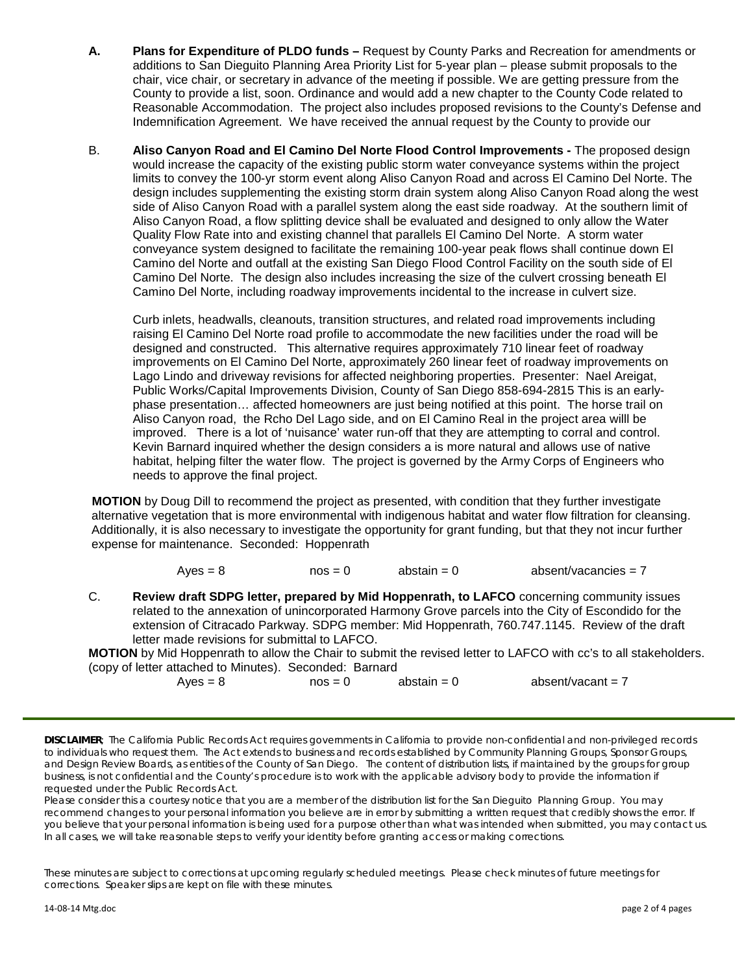- **A. Plans for Expenditure of PLDO funds –** Request by County Parks and Recreation for amendments or additions to San Dieguito Planning Area Priority List for 5-year plan – please submit proposals to the chair, vice chair, or secretary in advance of the meeting if possible. We are getting pressure from the County to provide a list, soon. Ordinance and would add a new chapter to the County Code related to Reasonable Accommodation. The project also includes proposed revisions to the County's Defense and Indemnification Agreement. We have received the annual request by the County to provide our
- B. **Aliso Canyon Road and El Camino Del Norte Flood Control Improvements -** The proposed design would increase the capacity of the existing public storm water conveyance systems within the project limits to convey the 100-yr storm event along Aliso Canyon Road and across El Camino Del Norte. The design includes supplementing the existing storm drain system along Aliso Canyon Road along the west side of Aliso Canyon Road with a parallel system along the east side roadway. At the southern limit of Aliso Canyon Road, a flow splitting device shall be evaluated and designed to only allow the Water Quality Flow Rate into and existing channel that parallels El Camino Del Norte. A storm water conveyance system designed to facilitate the remaining 100-year peak flows shall continue down El Camino del Norte and outfall at the existing San Diego Flood Control Facility on the south side of El Camino Del Norte. The design also includes increasing the size of the culvert crossing beneath El Camino Del Norte, including roadway improvements incidental to the increase in culvert size.

 Curb inlets, headwalls, cleanouts, transition structures, and related road improvements including raising El Camino Del Norte road profile to accommodate the new facilities under the road will be designed and constructed. This alternative requires approximately 710 linear feet of roadway improvements on El Camino Del Norte, approximately 260 linear feet of roadway improvements on Lago Lindo and driveway revisions for affected neighboring properties. Presenter: Nael Areigat, Public Works/Capital Improvements Division, County of San Diego 858-694-2815 This is an earlyphase presentation… affected homeowners are just being notified at this point. The horse trail on Aliso Canyon road, the Rcho Del Lago side, and on El Camino Real in the project area willl be improved. There is a lot of 'nuisance' water run-off that they are attempting to corral and control. Kevin Barnard inquired whether the design considers a is more natural and allows use of native habitat, helping filter the water flow. The project is governed by the Army Corps of Engineers who needs to approve the final project.

**MOTION** by Doug Dill to recommend the project as presented, with condition that they further investigate alternative vegetation that is more environmental with indigenous habitat and water flow filtration for cleansing. Additionally, it is also necessary to investigate the opportunity for grant funding, but that they not incur further expense for maintenance. Seconded: Hoppenrath

 $Ayes = 8$  nos = 0 abstain = 0 absent/vacancies = 7

C. **Review draft SDPG letter, prepared by Mid Hoppenrath, to LAFCO** concerning community issues related to the annexation of unincorporated Harmony Grove parcels into the City of Escondido for the extension of Citracado Parkway. SDPG member: Mid Hoppenrath, 760.747.1145. Review of the draft letter made revisions for submittal to LAFCO.

**MOTION** by Mid Hoppenrath to allow the Chair to submit the revised letter to LAFCO with cc's to all stakeholders. (copy of letter attached to Minutes). Seconded: Barnard

 $Ayes = 8$  nos = 0 abstain = 0 absent/vacant = 7

*Please consider this a courtesy notice that you are a member of the distribution list for the San Dieguito Planning Group. You may*  recommend changes to your personal information you believe are in error by submitting a written request that credibly shows the error. If *you believe that your personal information is being used for a purpose other than what was intended when submitted, you may contact us. In all cases, we will take reasonable steps to verify your identity before granting access or making corrections.*

*DISCLAIMER; The California Public Records Act requires governments in California to provide non-confidential and non-privileged records*  to individuals who request them. The Act extends to business and records established by Community Planning Groups, Sponsor Groups, *and Design Review Boards, as entities of the County of San Diego. The content of distribution lists, if maintained by the groups for group business, is not confidential and the County's procedure is to work with the applicable advisory body to provide the information if requested under the Public Records Act.*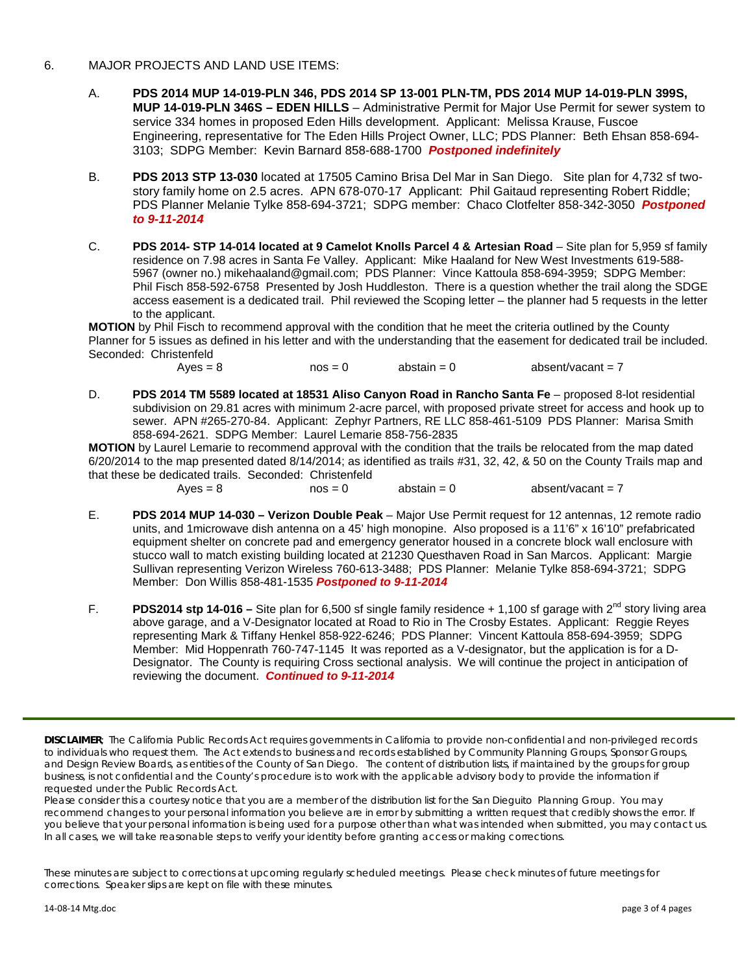#### 6. MAJOR PROJECTS AND LAND USE ITEMS:

- A. **PDS 2014 MUP 14-019-PLN 346, PDS 2014 SP 13-001 PLN-TM, PDS 2014 MUP 14-019-PLN 399S, MUP 14-019-PLN 346S – EDEN HILLS** – Administrative Permit for Major Use Permit for sewer system to service 334 homes in proposed Eden Hills development. Applicant: Melissa Krause, Fuscoe Engineering, representative for The Eden Hills Project Owner, LLC; PDS Planner: Beth Ehsan 858-694- 3103; SDPG Member: Kevin Barnard 858-688-1700 *Postponed indefinitely*
- B. **PDS 2013 STP 13-030** located at 17505 Camino Brisa Del Mar in San Diego. Site plan for 4,732 sf twostory family home on 2.5 acres. APN 678-070-17 Applicant: Phil Gaitaud representing Robert Riddle; PDS Planner Melanie Tylke 858-694-3721; SDPG member: Chaco Clotfelter 858-342-3050 *Postponed to 9-11-2014*
- C. **PDS 2014- STP 14-014 located at 9 Camelot Knolls Parcel 4 & Artesian Road** Site plan for 5,959 sf family residence on 7.98 acres in Santa Fe Valley. Applicant: Mike Haaland for New West Investments 619-588- 5967 (owner no.) [mikehaaland@gmail.com;](mailto:mikehaaland@gmail.com) PDS Planner: Vince Kattoula 858-694-3959; SDPG Member: Phil Fisch 858-592-6758 Presented by Josh Huddleston. There is a question whether the trail along the SDGE access easement is a dedicated trail. Phil reviewed the Scoping letter – the planner had 5 requests in the letter to the applicant.

**MOTION** by Phil Fisch to recommend approval with the condition that he meet the criteria outlined by the County Planner for 5 issues as defined in his letter and with the understanding that the easement for dedicated trail be included. Seconded: Christenfeld

 $Aves = 8$  nos = 0 abstain = 0 absent/vacant = 7

D. **PDS 2014 TM 5589 located at 18531 Aliso Canyon Road in Rancho Santa Fe** – proposed 8-lot residential subdivision on 29.81 acres with minimum 2-acre parcel, with proposed private street for access and hook up to sewer. APN #265-270-84. Applicant: Zephyr Partners, RE LLC 858-461-5109 PDS Planner: Marisa Smith 858-694-2621. SDPG Member: Laurel Lemarie 858-756-2835

**MOTION** by Laurel Lemarie to recommend approval with the condition that the trails be relocated from the map dated 6/20/2014 to the map presented dated 8/14/2014; as identified as trails #31, 32, 42, & 50 on the County Trails map and that these be dedicated trails. Seconded: Christenfeld<br>Ayes =  $8$  nos = 0

 $abstain = 0$  absent/vacant = 7

- E. **PDS 2014 MUP 14-030 – Verizon Double Peak** Major Use Permit request for 12 antennas, 12 remote radio units, and 1microwave dish antenna on a 45' high monopine. Also proposed is a 11'6" x 16'10" prefabricated equipment shelter on concrete pad and emergency generator housed in a concrete block wall enclosure with stucco wall to match existing building located at 21230 Questhaven Road in San Marcos. Applicant: Margie Sullivan representing Verizon Wireless 760-613-3488; PDS Planner: Melanie Tylke 858-694-3721; SDPG Member: Don Willis 858-481-1535 *Postponed to 9-11-2014*
- F. **PDS2014 stp 14-016** Site plan for 6,500 sf single family residence + 1,100 sf garage with 2<sup>nd</sup> story living area above garage, and a V-Designator located at Road to Rio in The Crosby Estates. Applicant: Reggie Reyes representing Mark & Tiffany Henkel 858-922-6246; PDS Planner: Vincent Kattoula 858-694-3959; SDPG Member: Mid Hoppenrath 760-747-1145 It was reported as a V-designator, but the application is for a D-Designator. The County is requiring Cross sectional analysis. We will continue the project in anticipation of reviewing the document. *Continued to 9-11-2014*

*DISCLAIMER; The California Public Records Act requires governments in California to provide non-confidential and non-privileged records*  to individuals who request them. The Act extends to business and records established by Community Planning Groups, Sponsor Groups, *and Design Review Boards, as entities of the County of San Diego. The content of distribution lists, if maintained by the groups for group business, is not confidential and the County's procedure is to work with the applicable advisory body to provide the information if requested under the Public Records Act.*

*Please consider this a courtesy notice that you are a member of the distribution list for the San Dieguito Planning Group. You may*  recommend changes to your personal information you believe are in error by submitting a written request that credibly shows the error. If *you believe that your personal information is being used for a purpose other than what was intended when submitted, you may contact us. In all cases, we will take reasonable steps to verify your identity before granting access or making corrections.*